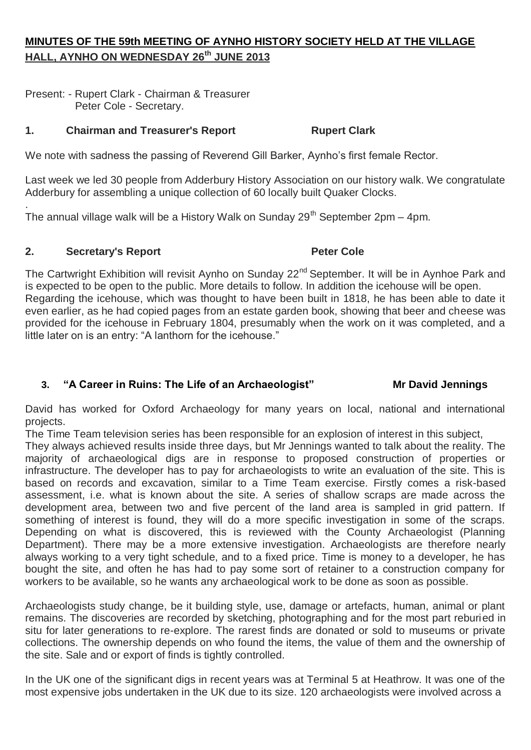# **MINUTES OF THE 59th MEETING OF AYNHO HISTORY SOCIETY HELD AT THE VILLAGE HALL, AYNHO ON WEDNESDAY 26th JUNE 2013**

Present: - Rupert Clark - Chairman & Treasurer Peter Cole - Secretary.

## **1. Chairman and Treasurer's Report Rupert Clark**

We note with sadness the passing of Reverend Gill Barker, Aynho's first female Rector.

Last week we led 30 people from Adderbury History Association on our history walk. We congratulate Adderbury for assembling a unique collection of 60 locally built Quaker Clocks.

. The annual village walk will be a History Walk on Sunday  $29<sup>th</sup>$  September 2pm – 4pm.

#### **2. Secretary's Report Peter Cole**

The Cartwright Exhibition will revisit Aynho on Sunday 22<sup>nd</sup> September. It will be in Aynhoe Park and is expected to be open to the public. More details to follow. In addition the icehouse will be open. Regarding the icehouse, which was thought to have been built in 1818, he has been able to date it even earlier, as he had copied pages from an estate garden book, showing that beer and cheese was provided for the icehouse in February 1804, presumably when the work on it was completed, and a little later on is an entry: "A lanthorn for the icehouse."

## **3. "A Career in Ruins: The Life of an Archaeologist" Mr David Jennings**

David has worked for Oxford Archaeology for many years on local, national and international projects.

The Time Team television series has been responsible for an explosion of interest in this subject,

They always achieved results inside three days, but Mr Jennings wanted to talk about the reality. The majority of archaeological digs are in response to proposed construction of properties or infrastructure. The developer has to pay for archaeologists to write an evaluation of the site. This is based on records and excavation, similar to a Time Team exercise. Firstly comes a risk-based assessment, i.e. what is known about the site. A series of shallow scraps are made across the development area, between two and five percent of the land area is sampled in grid pattern. If something of interest is found, they will do a more specific investigation in some of the scraps. Depending on what is discovered, this is reviewed with the County Archaeologist (Planning Department). There may be a more extensive investigation. Archaeologists are therefore nearly always working to a very tight schedule, and to a fixed price. Time is money to a developer, he has bought the site, and often he has had to pay some sort of retainer to a construction company for workers to be available, so he wants any archaeological work to be done as soon as possible.

Archaeologists study change, be it building style, use, damage or artefacts, human, animal or plant remains. The discoveries are recorded by sketching, photographing and for the most part reburied in situ for later generations to re-explore. The rarest finds are donated or sold to museums or private collections. The ownership depends on who found the items, the value of them and the ownership of the site. Sale and or export of finds is tightly controlled.

In the UK one of the significant digs in recent years was at Terminal 5 at Heathrow. It was one of the most expensive jobs undertaken in the UK due to its size. 120 archaeologists were involved across a